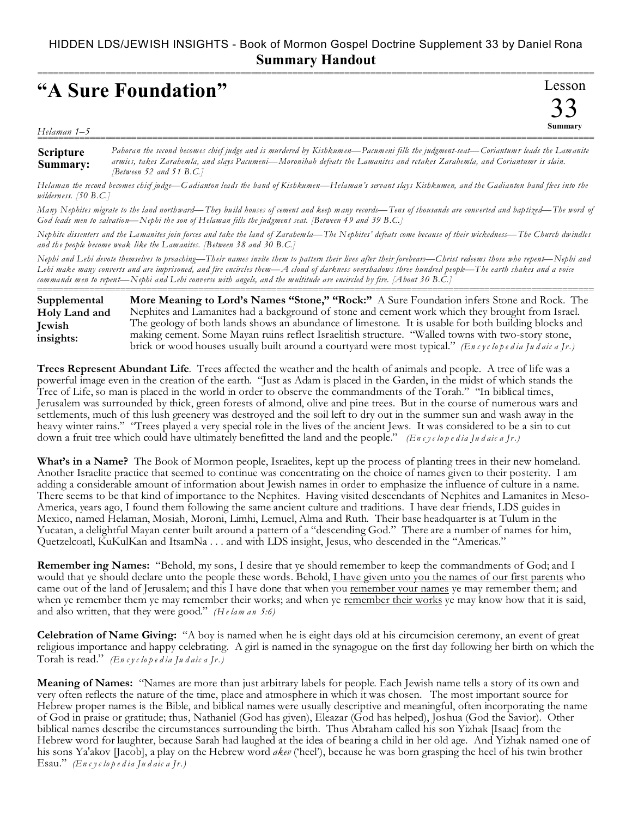## HIDDEN LDS/JEWISH INSIGHTS - Book of Mormon Gospel Doctrine Supplement 33 by Daniel Rona **Summary Handout**

| "A Sure Foundation" | $\overline{P}$ |
|---------------------|----------------|
|                     |                |
| Helaman 1–5         |                |
|                     |                |

**Scripture Summary:** *Pahoran the second becomes chief judge and is murdered by Kishkumen—Pacumeni fills the judgment-seat—Coriantumr leads the Lamanite armies, takes Zarahemla, and slays Pacumeni—Moronihah defeats the Lamanites and retakes Zarahemla, and Coriantumr is slain. [Between 52 and 51 B.C.]*

*Helaman the second becomes chief judge—Gadianton leads the band of Kishkumen—Helaman's servant slays Kishkumen, and the Gadianton band flees into the wilderness. [50 B.C.]*

*Many Nephites migrate to the land northward—They build houses of cement and keep many records—Tens of thousands are converted and baptized—The word of God leads men to salvation—Nephi the son of Helaman fills the judgment seat. [Between 49 and 39 B.C.]*

*Nephite dissenters and the Lamanites join forces and take the land of Zarahemla—The Nephites' defeats come because of their wickedness—The Church dwindles and the people become weak like the Lamanites. [Between 38 and 30 B.C.]*

*Nephi and Lehi devote themselves to preaching—Their names invite them to pattern their lives after their forebears—Christ redeems those who repent—Nephi and Lehi make many converts and are imprisoned, and fire encircles them—A cloud of darkness overshadows three hundred people—The earth shakes and a voice commands men to repent—Nephi and Lehi converse with angels, and the multitude are encircled by fire. [About 30 B.C.]*

=========================================================================================================== **More Meaning to Lord's Names "Stone," "Rock:"** A Sure Foundation infers Stone and Rock. The Nephites and Lamanites had a background of stone and cement work which they brought from Israel. The geology of both lands shows an abundance of limestone. It is usable for both building blocks and making cement. Some Mayan ruins reflect Israelitish structure. "Walled towns with two-story stone, brick or wood houses usually built around a courtyard were most typical." *(En c y c lo p e d ia Ju d aic a Jr.)* **Supplemental Holy Land and Jewish insights:**

**Trees Represent Abundant Life**. Trees affected the weather and the health of animals and people. A tree of life was a powerful image even in the creation of the earth. "Just as Adam is placed in the Garden, in the midst of which stands the Tree of Life, so man is placed in the world in order to observe the commandments of the Torah." "In biblical times, Jerusalem was surrounded by thick, green forests of almond, olive and pine trees. But in the course of numerous wars and settlements, much of this lush greenery was destroyed and the soil left to dry out in the summer sun and wash away in the heavy winter rains." "Trees played a very special role in the lives of the ancient Jews. It was considered to be a sin to cut down a fruit tree which could have ultimately benefitted the land and the people." *(En c y c lo p e d ia Ju d aic a Jr.)*

**What's in a Name?** The Book of Mormon people, Israelites, kept up the process of planting trees in their new homeland. Another Israelite practice that seemed to continue was concentrating on the choice of names given to their posterity. I am adding a considerable amount of information about Jewish names in order to emphasize the influence of culture in a name. There seems to be that kind of importance to the Nephites. Having visited descendants of Nephites and Lamanites in Meso-America, years ago, I found them following the same ancient culture and traditions. I have dear friends, LDS guides in Mexico, named Helaman, Mosiah, Moroni, Limhi, Lemuel, Alma and Ruth. Their base headquarter is at Tulum in the Yucatan, a delightful Mayan center built around a pattern of a "descending God." There are a number of names for him, Quetzelcoatl, KuKulKan and ItsamNa . . . and with LDS insight, Jesus, who descended in the "Americas."

**Remember ing Names:** "Behold, my sons, I desire that ye should remember to keep the commandments of God; and I would that ye should declare unto the people these words. Behold, I have given unto you the names of our first parents who came out of the land of Jerusalem; and this I have done that when you remember your names ye may remember them; and when ye remember them ye may remember their works; and when ye remember their works ye may know how that it is said, and also written, that they were good." *(H e lam a n 5:6)*

**Celebration of Name Giving:** "A boy is named when he is eight days old at his circumcision ceremony, an event of great religious importance and happy celebrating. A girl is named in the synagogue on the first day following her birth on which the Torah is read." *(En c y c lo p e d ia Ju d aic a Jr.)*

**Meaning of Names:** "Names are more than just arbitrary labels for people. Each Jewish name tells a story of its own and very often reflects the nature of the time, place and atmosphere in which it was chosen. The most important source for Hebrew proper names is the Bible, and biblical names were usually descriptive and meaningful, often incorporating the name of God in praise or gratitude; thus, Nathaniel (God has given), Eleazar (God has helped), Joshua (God the Savior). Other biblical names describe the circumstances surrounding the birth. Thus Abraham called his son Yizhak [Isaac] from the Hebrew word for laughter, because Sarah had laughed at the idea of bearing a child in her old age. And Yizhak named one of his sons Ya'akov [Jacob], a play on the Hebrew word *akev* ('heel'), because he was born grasping the heel of his twin brother Esau." *(En c y c lo p e d ia Ju d aic a Jr.)*